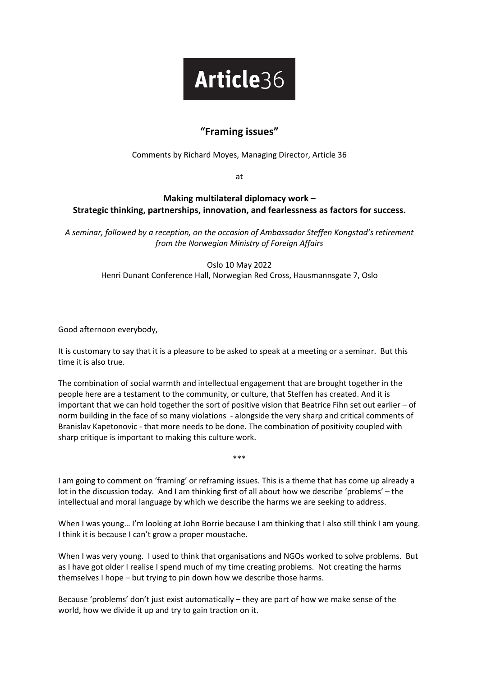## Article36

## **"Framing issues"**

## Comments by Richard Moyes, Managing Director, Article 36

at

## **Making multilateral diplomacy work – Strategic thinking, partnerships, innovation, and fearlessness as factors for success.**

*A seminar, followed by a reception, on the occasion of Ambassador Steffen Kongstad's retirement from the Norwegian Ministry of Foreign Affairs*

> Oslo 10 May 2022 Henri Dunant Conference Hall, Norwegian Red Cross, Hausmannsgate 7, Oslo

Good afternoon everybody,

It is customary to say that it is a pleasure to be asked to speak at a meeting or a seminar. But this time it is also true.

The combination of social warmth and intellectual engagement that are brought together in the people here are a testament to the community, or culture, that Steffen has created. And it is important that we can hold together the sort of positive vision that Beatrice Fihn set out earlier – of norm building in the face of so many violations - alongside the very sharp and critical comments of Branislav Kapetonovic - that more needs to be done. The combination of positivity coupled with sharp critique is important to making this culture work.

I am going to comment on 'framing' or reframing issues. This is a theme that has come up already a lot in the discussion today. And I am thinking first of all about how we describe 'problems' – the intellectual and moral language by which we describe the harms we are seeking to address.

\*\*\*

When I was young... I'm looking at John Borrie because I am thinking that I also still think I am young. I think it is because I can't grow a proper moustache.

When I was very young. I used to think that organisations and NGOs worked to solve problems. But as I have got older I realise I spend much of my time creating problems. Not creating the harms themselves I hope – but trying to pin down how we describe those harms.

Because 'problems' don't just exist automatically – they are part of how we make sense of the world, how we divide it up and try to gain traction on it.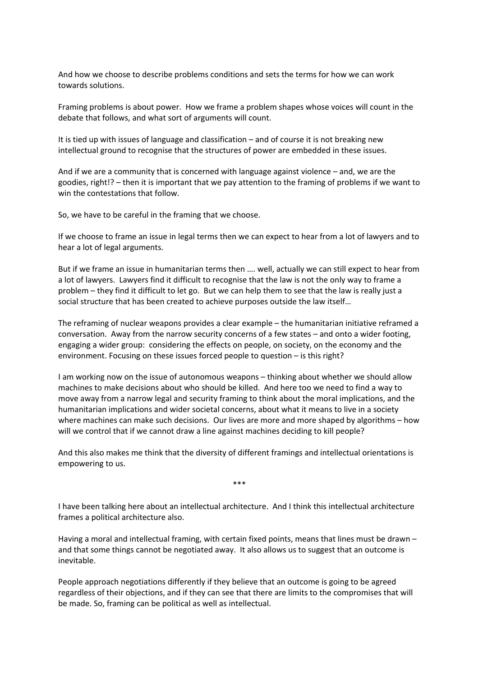And how we choose to describe problems conditions and sets the terms for how we can work towards solutions.

Framing problems is about power. How we frame a problem shapes whose voices will count in the debate that follows, and what sort of arguments will count.

It is tied up with issues of language and classification – and of course it is not breaking new intellectual ground to recognise that the structures of power are embedded in these issues.

And if we are a community that is concerned with language against violence – and, we are the goodies, right!? – then it is important that we pay attention to the framing of problems if we want to win the contestations that follow.

So, we have to be careful in the framing that we choose.

If we choose to frame an issue in legal terms then we can expect to hear from a lot of lawyers and to hear a lot of legal arguments.

But if we frame an issue in humanitarian terms then …. well, actually we can still expect to hear from a lot of lawyers. Lawyers find it difficult to recognise that the law is not the only way to frame a problem – they find it difficult to let go. But we can help them to see that the law is really just a social structure that has been created to achieve purposes outside the law itself…

The reframing of nuclear weapons provides a clear example – the humanitarian initiative reframed a conversation. Away from the narrow security concerns of a few states – and onto a wider footing, engaging a wider group: considering the effects on people, on society, on the economy and the environment. Focusing on these issues forced people to question – is this right?

I am working now on the issue of autonomous weapons – thinking about whether we should allow machines to make decisions about who should be killed. And here too we need to find a way to move away from a narrow legal and security framing to think about the moral implications, and the humanitarian implications and wider societal concerns, about what it means to live in a society where machines can make such decisions. Our lives are more and more shaped by algorithms – how will we control that if we cannot draw a line against machines deciding to kill people?

And this also makes me think that the diversity of different framings and intellectual orientations is empowering to us.

\*\*\*

I have been talking here about an intellectual architecture. And I think this intellectual architecture frames a political architecture also.

Having a moral and intellectual framing, with certain fixed points, means that lines must be drawn – and that some things cannot be negotiated away. It also allows us to suggest that an outcome is inevitable.

People approach negotiations differently if they believe that an outcome is going to be agreed regardless of their objections, and if they can see that there are limits to the compromises that will be made. So, framing can be political as well as intellectual.